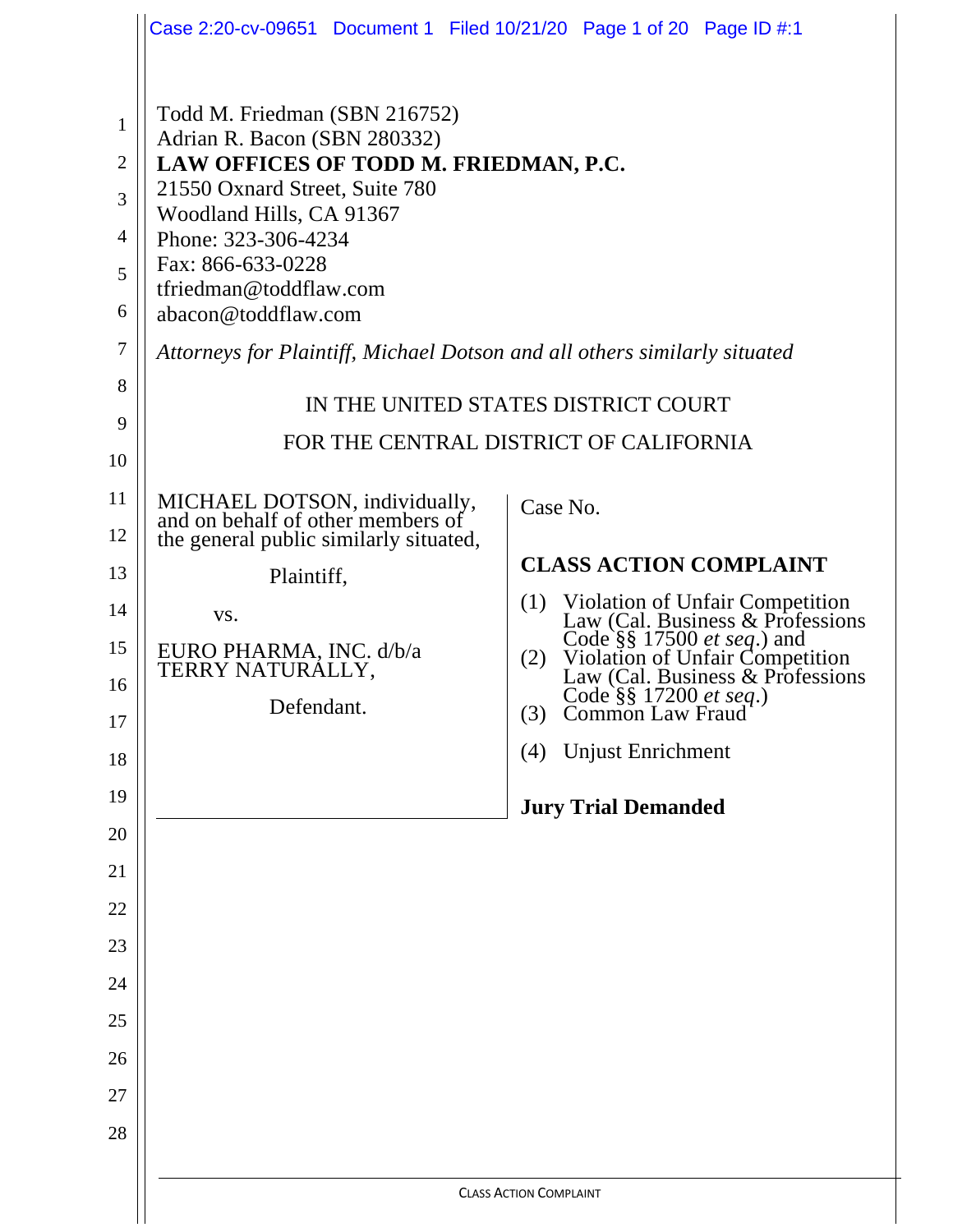|                | Case 2:20-cv-09651 Document 1 Filed 10/21/20 Page 1 of 20 Page ID #:1     |                                                                                                                  |  |  |  |  |  |
|----------------|---------------------------------------------------------------------------|------------------------------------------------------------------------------------------------------------------|--|--|--|--|--|
|                |                                                                           |                                                                                                                  |  |  |  |  |  |
| 1              | Todd M. Friedman (SBN 216752)<br>Adrian R. Bacon (SBN 280332)             |                                                                                                                  |  |  |  |  |  |
| $\overline{2}$ | LAW OFFICES OF TODD M. FRIEDMAN, P.C.                                     |                                                                                                                  |  |  |  |  |  |
| 3              | 21550 Oxnard Street, Suite 780<br>Woodland Hills, CA 91367                |                                                                                                                  |  |  |  |  |  |
| $\overline{4}$ | Phone: 323-306-4234                                                       |                                                                                                                  |  |  |  |  |  |
| 5              | Fax: 866-633-0228<br>tfriedman@toddflaw.com                               |                                                                                                                  |  |  |  |  |  |
| 6              | abacon@toddflaw.com                                                       |                                                                                                                  |  |  |  |  |  |
| $\tau$         | Attorneys for Plaintiff, Michael Dotson and all others similarly situated |                                                                                                                  |  |  |  |  |  |
| 8              | IN THE UNITED STATES DISTRICT COURT                                       |                                                                                                                  |  |  |  |  |  |
| 9              |                                                                           | FOR THE CENTRAL DISTRICT OF CALIFORNIA                                                                           |  |  |  |  |  |
| 10             |                                                                           |                                                                                                                  |  |  |  |  |  |
| 11             | MICHAEL DOTSON, individually, and on behalf of other members of           | Case No.                                                                                                         |  |  |  |  |  |
| 12             | the general public similarly situated,                                    |                                                                                                                  |  |  |  |  |  |
| 13             | Plaintiff,                                                                | <b>CLASS ACTION COMPLAINT</b>                                                                                    |  |  |  |  |  |
| 14             | VS.                                                                       | Violation of Unfair Competition<br>Law (Cal. Business & Professions<br>(1)                                       |  |  |  |  |  |
| 15             | EURO PHARMA, INC. d/b/a<br>TERRY NATURÁLLY,                               | Code §§ 17500 <i>et seq</i> .) and<br>Violation of Unfair Competition<br>Law (Cal. Business & Professions<br>(2) |  |  |  |  |  |
| 16             | Defendant.                                                                | Code §§ 17200 et seq.)<br>(3)                                                                                    |  |  |  |  |  |
| 17             |                                                                           | <b>Common Law Fraud</b><br><b>Unjust Enrichment</b><br>(4)                                                       |  |  |  |  |  |
| 18             |                                                                           |                                                                                                                  |  |  |  |  |  |
| 19             |                                                                           | <b>Jury Trial Demanded</b>                                                                                       |  |  |  |  |  |
| 20             |                                                                           |                                                                                                                  |  |  |  |  |  |
| 21             |                                                                           |                                                                                                                  |  |  |  |  |  |
| 22             |                                                                           |                                                                                                                  |  |  |  |  |  |
| 23             |                                                                           |                                                                                                                  |  |  |  |  |  |
| 24             |                                                                           |                                                                                                                  |  |  |  |  |  |
| 25             |                                                                           |                                                                                                                  |  |  |  |  |  |
| 26             |                                                                           |                                                                                                                  |  |  |  |  |  |
| 27             |                                                                           |                                                                                                                  |  |  |  |  |  |
| 28             |                                                                           |                                                                                                                  |  |  |  |  |  |
|                | <b>CLASS ACTION COMPLAINT</b>                                             |                                                                                                                  |  |  |  |  |  |
|                |                                                                           |                                                                                                                  |  |  |  |  |  |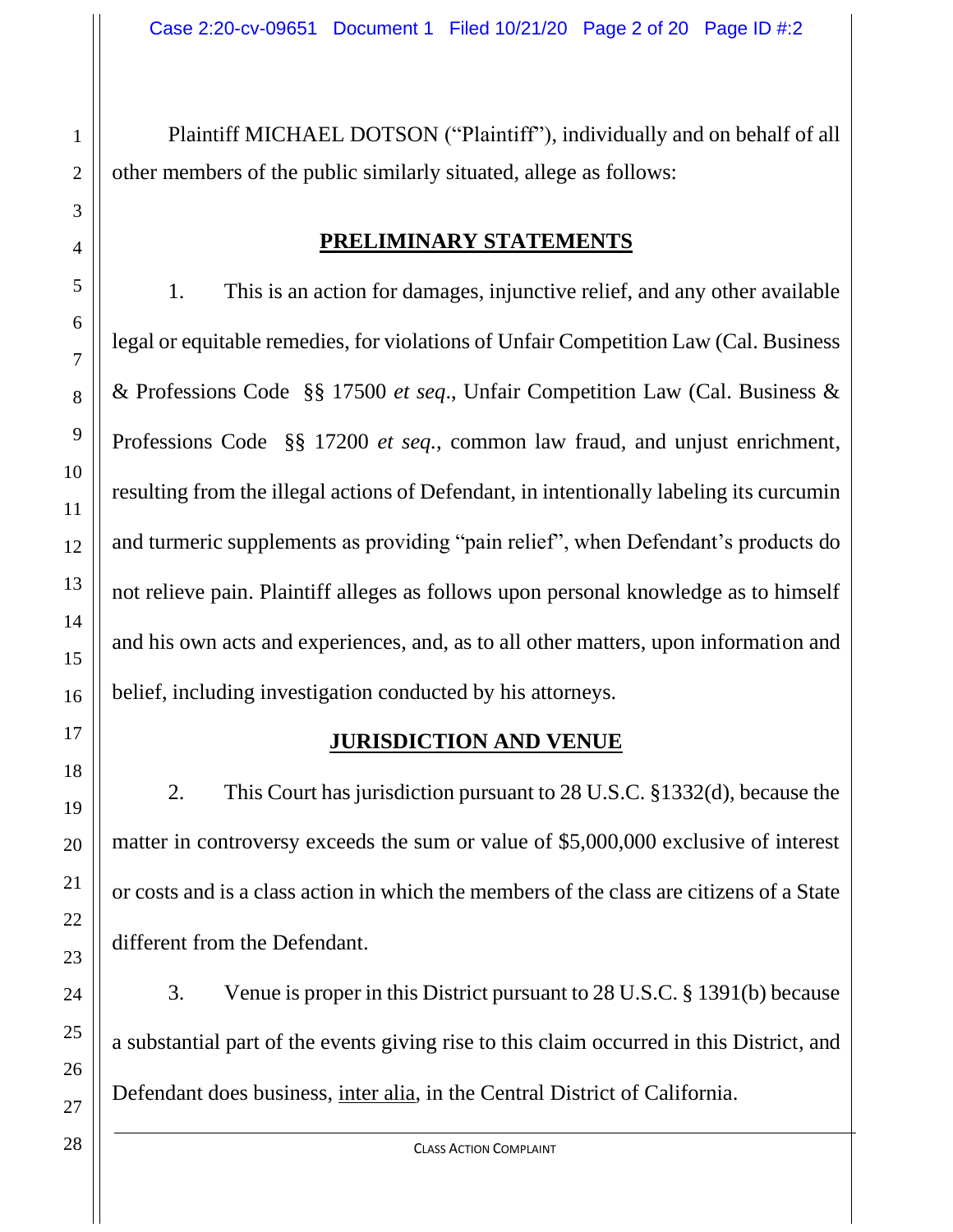Plaintiff MICHAEL DOTSON ("Plaintiff"), individually and on behalf of all other members of the public similarly situated, allege as follows:

#### **PRELIMINARY STATEMENTS**

1. This is an action for damages, injunctive relief, and any other available legal or equitable remedies, for violations of Unfair Competition Law (Cal. Business & Professions Code §§ 17500 *et seq*., Unfair Competition Law (Cal. Business & Professions Code §§ 17200 *et seq.*, common law fraud, and unjust enrichment, resulting from the illegal actions of Defendant, in intentionally labeling its curcumin and turmeric supplements as providing "pain relief", when Defendant's products do not relieve pain. Plaintiff alleges as follows upon personal knowledge as to himself and his own acts and experiences, and, as to all other matters, upon information and belief, including investigation conducted by his attorneys.

### **JURISDICTION AND VENUE**

2. This Court has jurisdiction pursuant to 28 U.S.C. §1332(d), because the matter in controversy exceeds the sum or value of \$5,000,000 exclusive of interest or costs and is a class action in which the members of the class are citizens of a State different from the Defendant.

3. Venue is proper in this District pursuant to 28 U.S.C. § 1391(b) because a substantial part of the events giving rise to this claim occurred in this District, and Defendant does business, inter alia, in the Central District of California.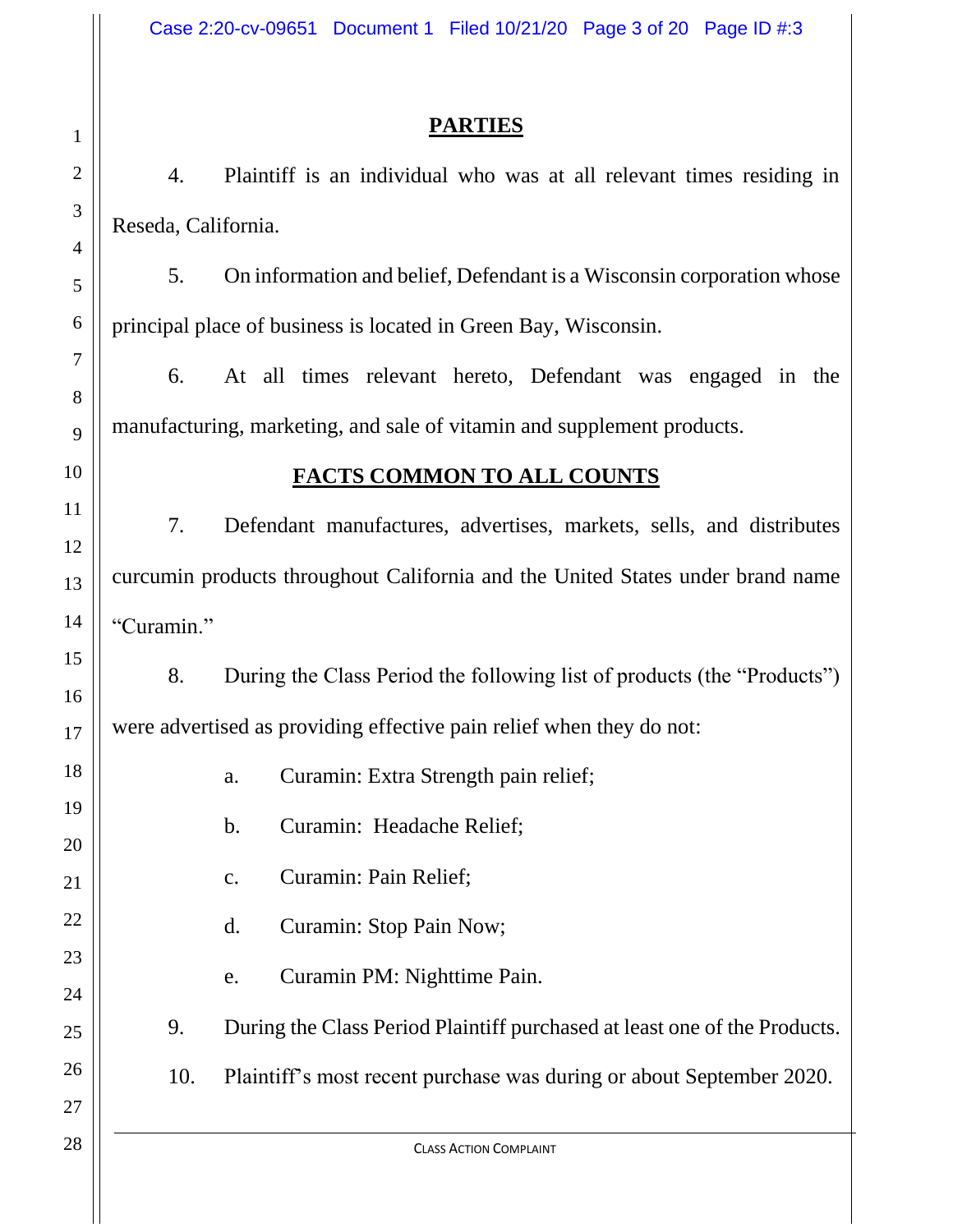## **PARTIES**

4. Plaintiff is an individual who was at all relevant times residing in Reseda, California.

5. On information and belief, Defendant is a Wisconsin corporation whose principal place of business is located in Green Bay, Wisconsin.

6. At all times relevant hereto, Defendant was engaged in the manufacturing, marketing, and sale of vitamin and supplement products.

# **FACTS COMMON TO ALL COUNTS**

7. Defendant manufactures, advertises, markets, sells, and distributes curcumin products throughout California and the United States under brand name "Curamin."

8. During the Class Period the following list of products (the "Products") were advertised as providing effective pain relief when they do not:

- a. Curamin: Extra Strength pain relief;
- b. Curamin: Headache Relief;
- c. Curamin: Pain Relief;
- d. Curamin: Stop Pain Now;
- e. Curamin PM: Nighttime Pain.
- 9. During the Class Period Plaintiff purchased at least one of the Products.
- 10. Plaintiff's most recent purchase was during or about September 2020.

CLASS ACTION COMPLAINT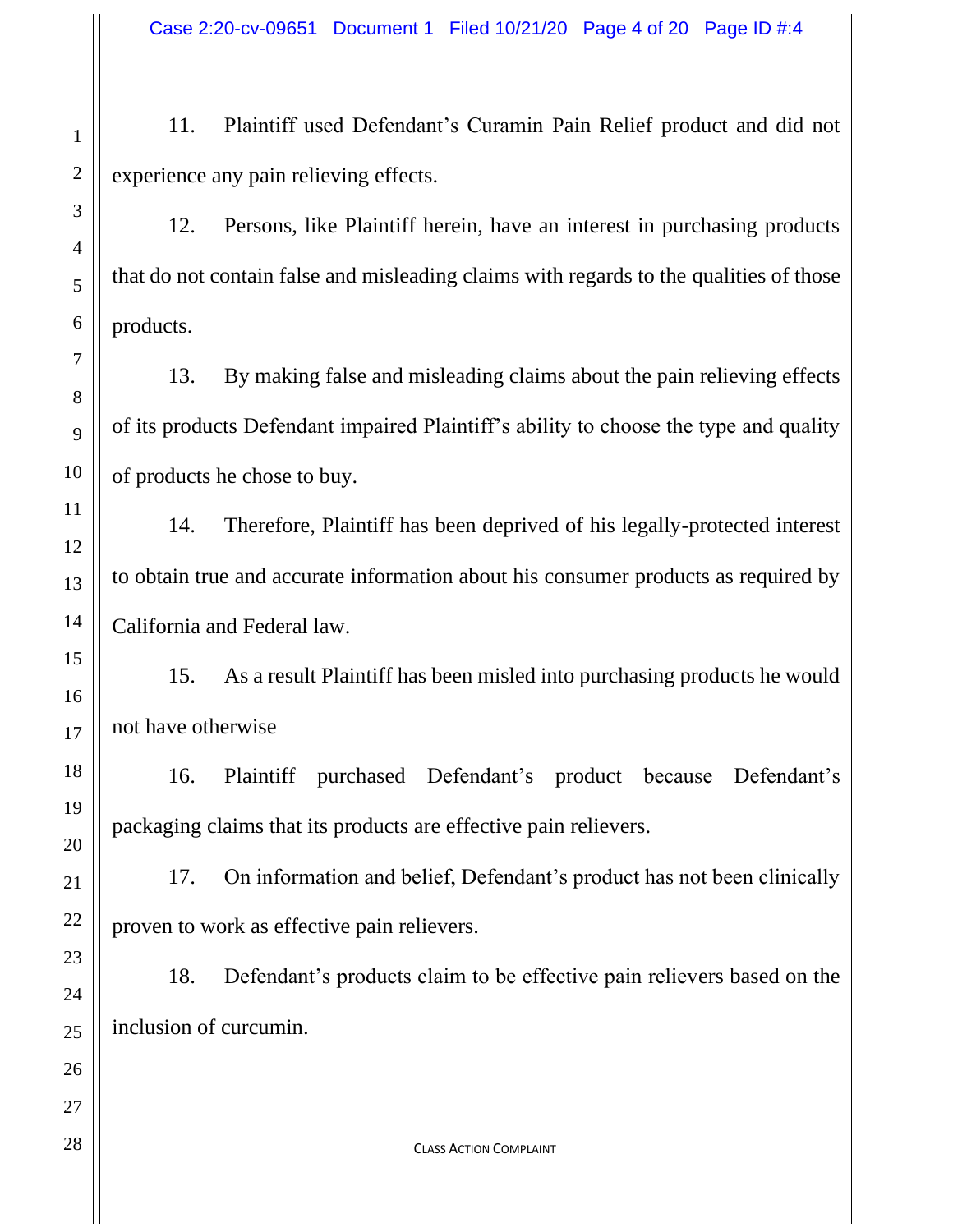11. Plaintiff used Defendant's Curamin Pain Relief product and did not experience any pain relieving effects.

12. Persons, like Plaintiff herein, have an interest in purchasing products that do not contain false and misleading claims with regards to the qualities of those products.

13. By making false and misleading claims about the pain relieving effects of its products Defendant impaired Plaintiff's ability to choose the type and quality of products he chose to buy.

14. Therefore, Plaintiff has been deprived of his legally-protected interest to obtain true and accurate information about his consumer products as required by California and Federal law.

15. As a result Plaintiff has been misled into purchasing products he would not have otherwise

16. Plaintiff purchased Defendant's product because Defendant's packaging claims that its products are effective pain relievers.

17. On information and belief, Defendant's product has not been clinically proven to work as effective pain relievers.

18. Defendant's products claim to be effective pain relievers based on the inclusion of curcumin.

1

2

3

4

5

6

7

8

9

10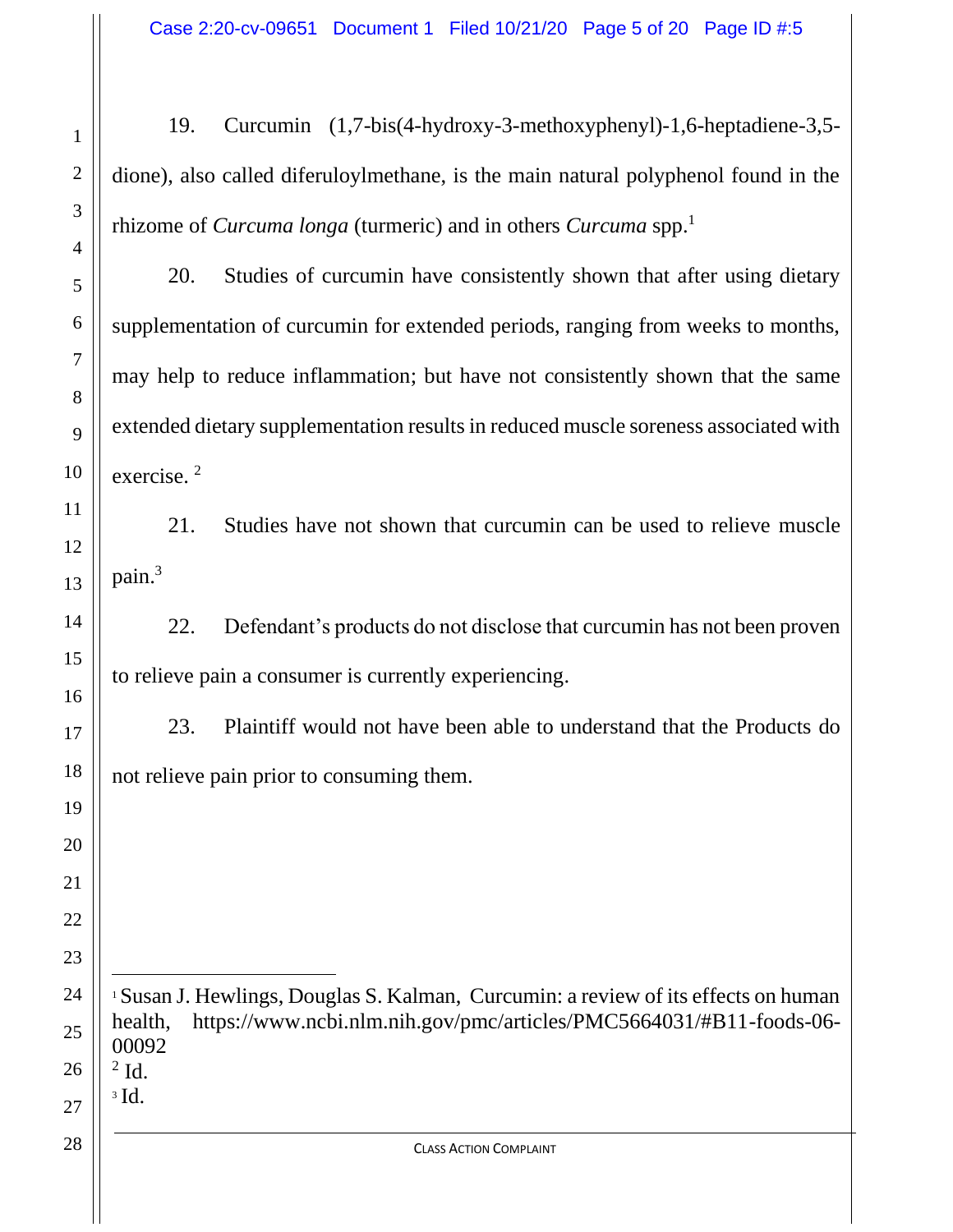19. Curcumin (1,7-bis(4-hydroxy-3-methoxyphenyl)-1,6-heptadiene-3,5 dione), also called diferuloylmethane, is the main natural polyphenol found in the rhizome of *Curcuma longa* (turmeric) and in others *Curcuma* spp.<sup>1</sup>

20. Studies of curcumin have consistently shown that after using dietary supplementation of curcumin for extended periods, ranging from weeks to months, may help to reduce inflammation; but have not consistently shown that the same extended dietary supplementation results in reduced muscle soreness associated with exercise. 2

21. Studies have not shown that curcumin can be used to relieve muscle pain.<sup>3</sup>

22. Defendant's products do not disclose that curcumin has not been proven to relieve pain a consumer is currently experiencing.

23. Plaintiff would not have been able to understand that the Products do not relieve pain prior to consuming them.

 Susan J. Hewlings, Douglas S. Kalman, Curcumin: a review of its effects on human health, https://www.ncbi.nlm.nih.gov/pmc/articles/PMC5664031/#B11-foods-06- Id. Id.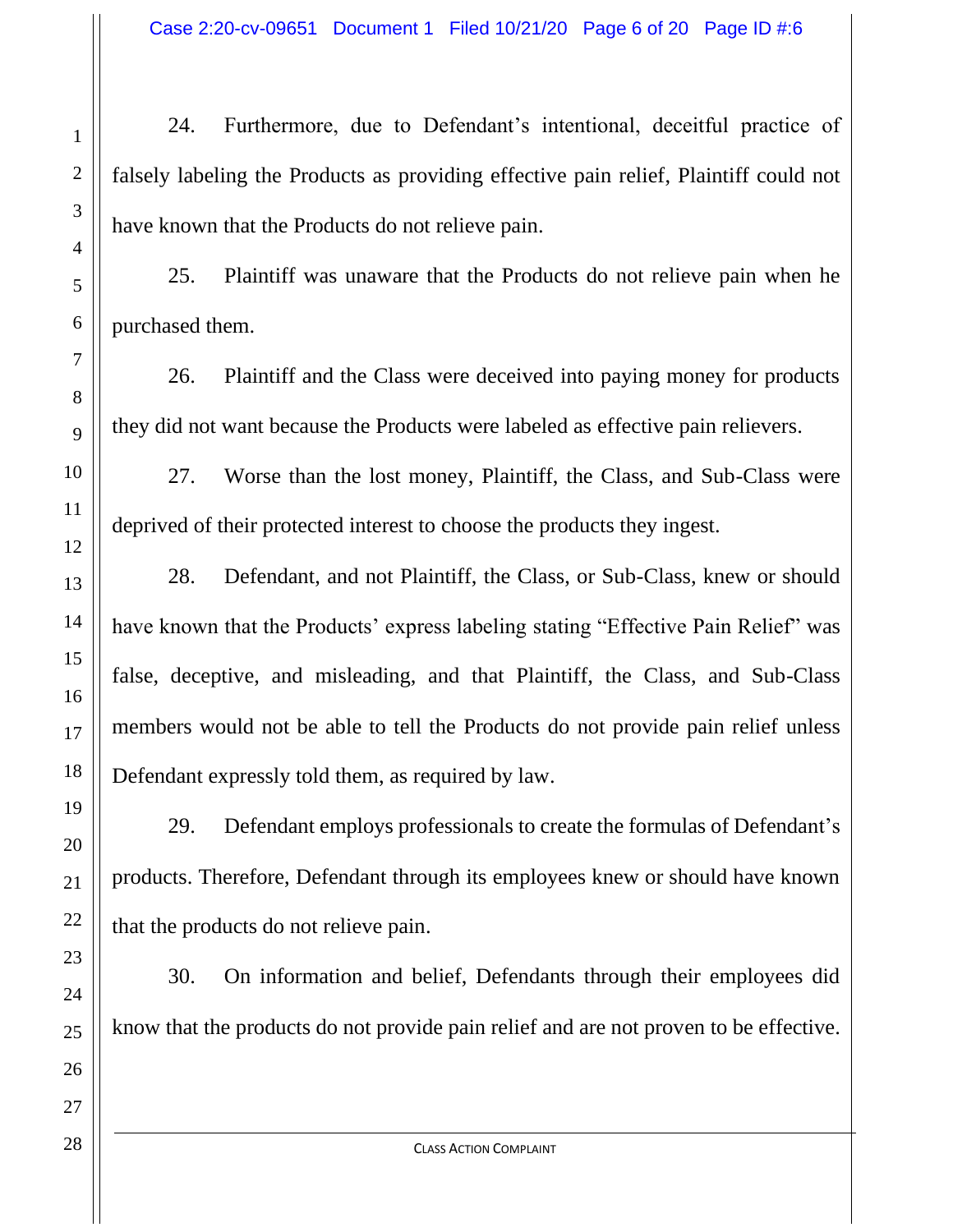24. Furthermore, due to Defendant's intentional, deceitful practice of falsely labeling the Products as providing effective pain relief, Plaintiff could not have known that the Products do not relieve pain.

25. Plaintiff was unaware that the Products do not relieve pain when he purchased them.

26. Plaintiff and the Class were deceived into paying money for products they did not want because the Products were labeled as effective pain relievers.

27. Worse than the lost money, Plaintiff, the Class, and Sub-Class were deprived of their protected interest to choose the products they ingest.

28. Defendant, and not Plaintiff, the Class, or Sub-Class, knew or should have known that the Products' express labeling stating "Effective Pain Relief" was false, deceptive, and misleading, and that Plaintiff, the Class, and Sub-Class members would not be able to tell the Products do not provide pain relief unless Defendant expressly told them, as required by law.

29. Defendant employs professionals to create the formulas of Defendant's products. Therefore, Defendant through its employees knew or should have known that the products do not relieve pain.

30. On information and belief, Defendants through their employees did know that the products do not provide pain relief and are not proven to be effective.

1

2

3

4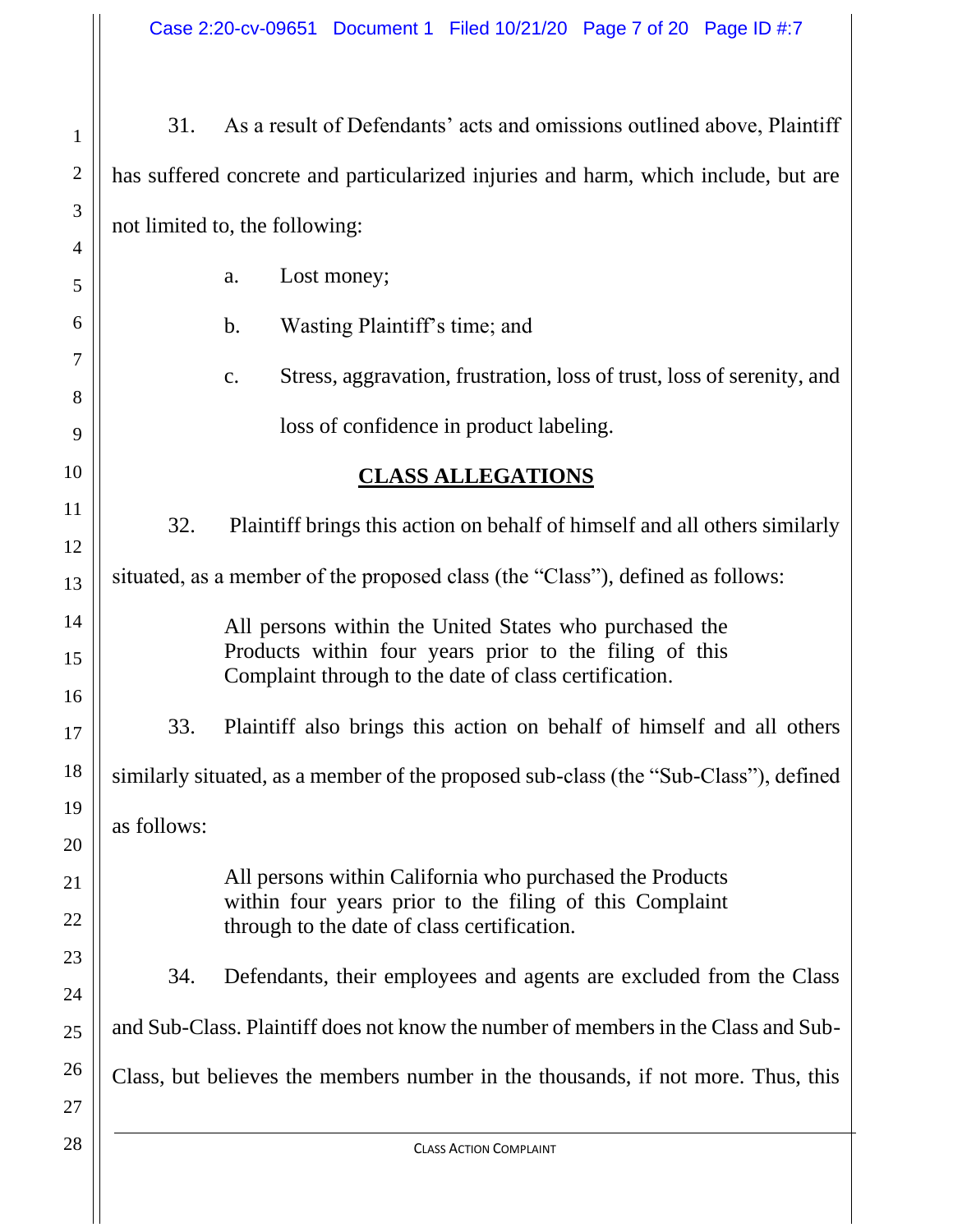| 1                       | 31.                                                                                                             | As a result of Defendants' acts and omissions outlined above, Plaintiff                  |  |  |  |  |  |
|-------------------------|-----------------------------------------------------------------------------------------------------------------|------------------------------------------------------------------------------------------|--|--|--|--|--|
| $\overline{c}$          |                                                                                                                 | has suffered concrete and particularized injuries and harm, which include, but are       |  |  |  |  |  |
| 3                       | not limited to, the following:                                                                                  |                                                                                          |  |  |  |  |  |
| 4                       |                                                                                                                 | Lost money;<br>a.                                                                        |  |  |  |  |  |
| 5                       |                                                                                                                 |                                                                                          |  |  |  |  |  |
| б                       |                                                                                                                 | Wasting Plaintiff's time; and<br>$\mathbf b$ .                                           |  |  |  |  |  |
| 7<br>8                  |                                                                                                                 | Stress, aggravation, frustration, loss of trust, loss of serenity, and<br>$\mathbf{c}$ . |  |  |  |  |  |
| 9                       |                                                                                                                 | loss of confidence in product labeling.                                                  |  |  |  |  |  |
| $\overline{0}$          |                                                                                                                 | <b>CLASS ALLEGATIONS</b>                                                                 |  |  |  |  |  |
| $\mathbf 1$             |                                                                                                                 |                                                                                          |  |  |  |  |  |
| $\overline{c}$          | 32.<br>Plaintiff brings this action on behalf of himself and all others similarly                               |                                                                                          |  |  |  |  |  |
| $\overline{\mathbf{3}}$ | situated, as a member of the proposed class (the "Class"), defined as follows:                                  |                                                                                          |  |  |  |  |  |
| 4                       | All persons within the United States who purchased the                                                          |                                                                                          |  |  |  |  |  |
|                         | Products within four years prior to the filing of this<br>Complaint through to the date of class certification. |                                                                                          |  |  |  |  |  |
| б                       |                                                                                                                 |                                                                                          |  |  |  |  |  |
| 7                       | 33.                                                                                                             | Plaintiff also brings this action on behalf of himself and all others                    |  |  |  |  |  |
| 8                       | similarly situated, as a member of the proposed sub-class (the "Sub-Class"), defined                            |                                                                                          |  |  |  |  |  |
| 9                       | as follows:                                                                                                     |                                                                                          |  |  |  |  |  |
| 0                       |                                                                                                                 | All persons within California who purchased the Products                                 |  |  |  |  |  |
| 1                       |                                                                                                                 | within four years prior to the filing of this Complaint                                  |  |  |  |  |  |
| $\overline{c}$          |                                                                                                                 | through to the date of class certification.                                              |  |  |  |  |  |
| 3<br>4                  | 34.                                                                                                             | Defendants, their employees and agents are excluded from the Class                       |  |  |  |  |  |
| 5                       | and Sub-Class. Plaintiff does not know the number of members in the Class and Sub-                              |                                                                                          |  |  |  |  |  |
| б<br>7                  |                                                                                                                 | Class, but believes the members number in the thousands, if not more. Thus, this         |  |  |  |  |  |
| 8                       | <b>CLASS ACTION COMPLAINT</b>                                                                                   |                                                                                          |  |  |  |  |  |
|                         |                                                                                                                 |                                                                                          |  |  |  |  |  |

 $\mathbb{R}$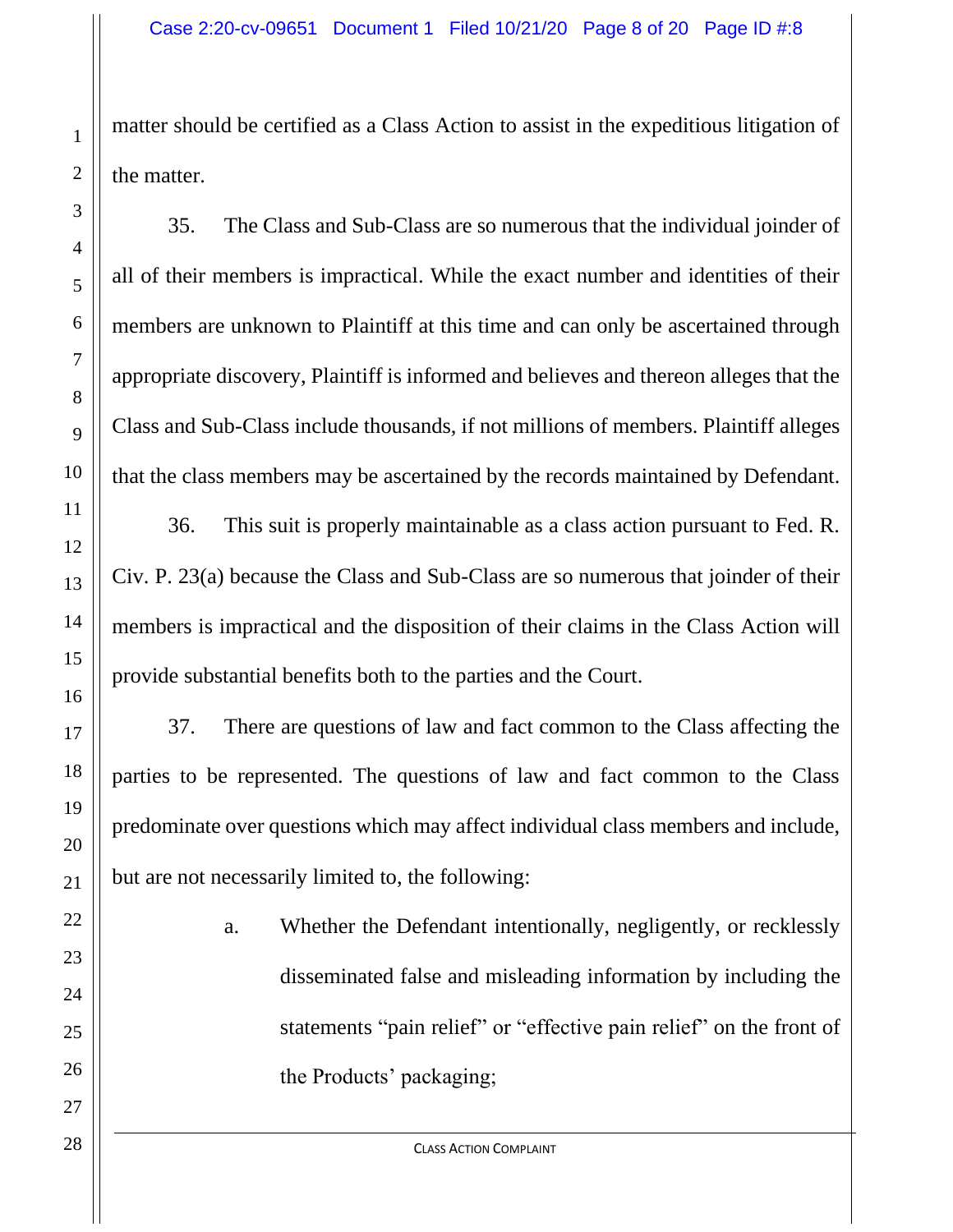matter should be certified as a Class Action to assist in the expeditious litigation of the matter.

35. The Class and Sub-Class are so numerous that the individual joinder of all of their members is impractical. While the exact number and identities of their members are unknown to Plaintiff at this time and can only be ascertained through appropriate discovery, Plaintiff is informed and believes and thereon alleges that the Class and Sub-Class include thousands, if not millions of members. Plaintiff alleges that the class members may be ascertained by the records maintained by Defendant.

36. This suit is properly maintainable as a class action pursuant to Fed. R. Civ. P. 23(a) because the Class and Sub-Class are so numerous that joinder of their members is impractical and the disposition of their claims in the Class Action will provide substantial benefits both to the parties and the Court.

37. There are questions of law and fact common to the Class affecting the parties to be represented. The questions of law and fact common to the Class predominate over questions which may affect individual class members and include, but are not necessarily limited to, the following:

> a. Whether the Defendant intentionally, negligently, or recklessly disseminated false and misleading information by including the statements "pain relief" or "effective pain relief" on the front of the Products' packaging;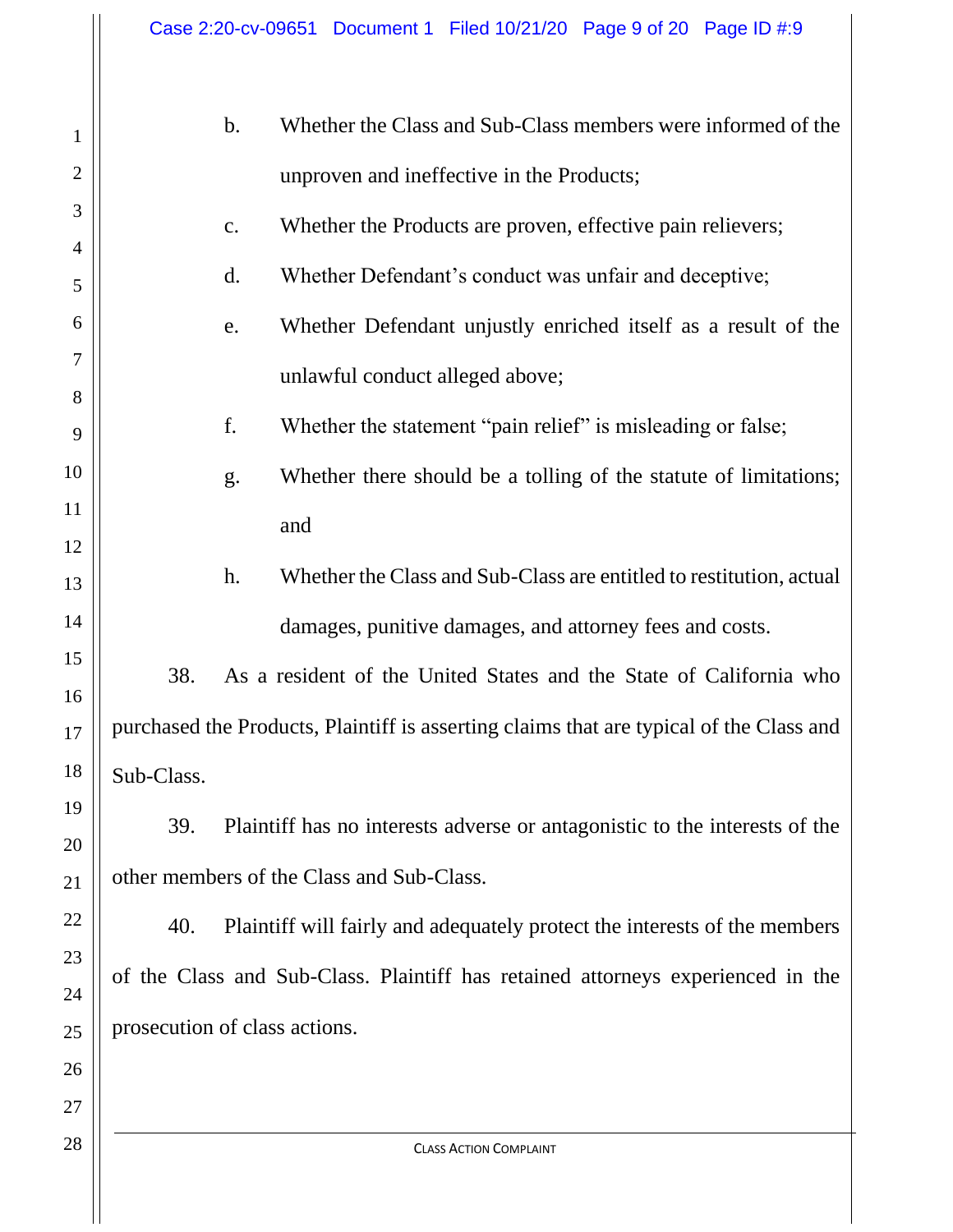| 1              | Whether the Class and Sub-Class members were informed of the<br>$\mathbf b$ .           |  |  |  |  |
|----------------|-----------------------------------------------------------------------------------------|--|--|--|--|
| $\overline{2}$ | unproven and ineffective in the Products;                                               |  |  |  |  |
| 3              | Whether the Products are proven, effective pain relievers;<br>c.                        |  |  |  |  |
| 4<br>5         | d.<br>Whether Defendant's conduct was unfair and deceptive;                             |  |  |  |  |
| 6              | Whether Defendant unjustly enriched itself as a result of the<br>e.                     |  |  |  |  |
| 7              |                                                                                         |  |  |  |  |
| 8              | unlawful conduct alleged above;                                                         |  |  |  |  |
| 9              | f.<br>Whether the statement "pain relief" is misleading or false;                       |  |  |  |  |
| 10             | Whether there should be a tolling of the statute of limitations;<br>g.                  |  |  |  |  |
| 11             | and                                                                                     |  |  |  |  |
| 12             |                                                                                         |  |  |  |  |
| 13             | Whether the Class and Sub-Class are entitled to restitution, actual<br>h.               |  |  |  |  |
| 14             | damages, punitive damages, and attorney fees and costs.                                 |  |  |  |  |
| 15<br>16       | 38.<br>As a resident of the United States and the State of California who               |  |  |  |  |
| 17             | purchased the Products, Plaintiff is asserting claims that are typical of the Class and |  |  |  |  |
| 18             | Sub-Class.                                                                              |  |  |  |  |
| 19             |                                                                                         |  |  |  |  |
| 20             | Plaintiff has no interests adverse or antagonistic to the interests of the<br>39.       |  |  |  |  |
| 21             | other members of the Class and Sub-Class.                                               |  |  |  |  |
| 22             | 40.<br>Plaintiff will fairly and adequately protect the interests of the members        |  |  |  |  |
| 23             | of the Class and Sub-Class. Plaintiff has retained attorneys experienced in the         |  |  |  |  |
| 24             |                                                                                         |  |  |  |  |
| 25             | prosecution of class actions.                                                           |  |  |  |  |
| 26             |                                                                                         |  |  |  |  |
| 27             |                                                                                         |  |  |  |  |
| 28             | <b>CLASS ACTION COMPLAINT</b>                                                           |  |  |  |  |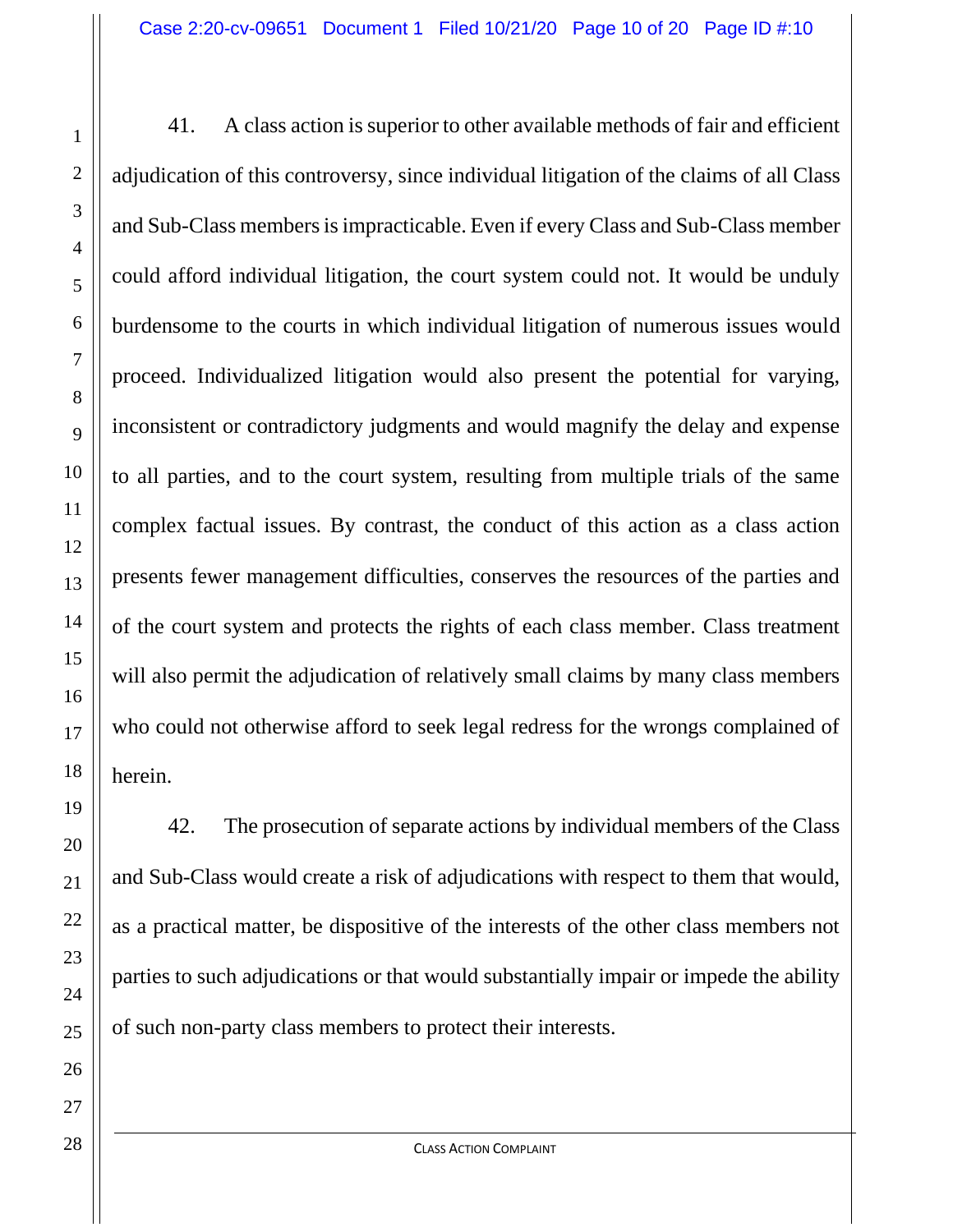41. A class action is superior to other available methods of fair and efficient adjudication of this controversy, since individual litigation of the claims of all Class and Sub-Class members is impracticable. Even if every Class and Sub-Class member could afford individual litigation, the court system could not. It would be unduly burdensome to the courts in which individual litigation of numerous issues would proceed. Individualized litigation would also present the potential for varying, inconsistent or contradictory judgments and would magnify the delay and expense to all parties, and to the court system, resulting from multiple trials of the same complex factual issues. By contrast, the conduct of this action as a class action presents fewer management difficulties, conserves the resources of the parties and of the court system and protects the rights of each class member. Class treatment will also permit the adjudication of relatively small claims by many class members who could not otherwise afford to seek legal redress for the wrongs complained of herein.

42. The prosecution of separate actions by individual members of the Class and Sub-Class would create a risk of adjudications with respect to them that would, as a practical matter, be dispositive of the interests of the other class members not parties to such adjudications or that would substantially impair or impede the ability of such non-party class members to protect their interests.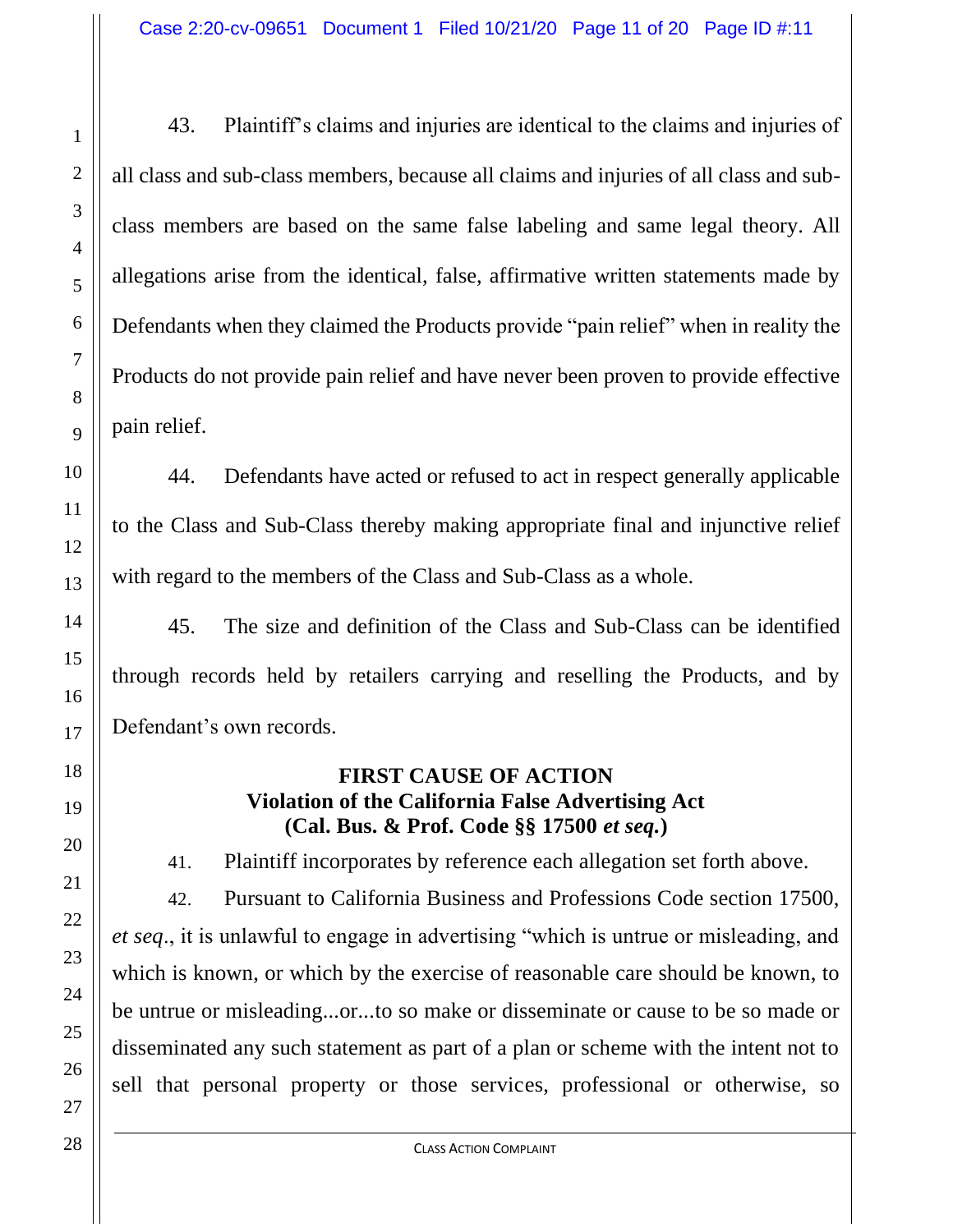43. Plaintiff's claims and injuries are identical to the claims and injuries of all class and sub-class members, because all claims and injuries of all class and subclass members are based on the same false labeling and same legal theory. All allegations arise from the identical, false, affirmative written statements made by Defendants when they claimed the Products provide "pain relief" when in reality the Products do not provide pain relief and have never been proven to provide effective pain relief.

44. Defendants have acted or refused to act in respect generally applicable to the Class and Sub-Class thereby making appropriate final and injunctive relief with regard to the members of the Class and Sub-Class as a whole.

45. The size and definition of the Class and Sub-Class can be identified through records held by retailers carrying and reselling the Products, and by Defendant's own records.

### **FIRST CAUSE OF ACTION Violation of the California False Advertising Act (Cal. Bus. & Prof. Code §§ 17500** *et seq.***)**

41. Plaintiff incorporates by reference each allegation set forth above.

42. Pursuant to California Business and Professions Code section 17500, *et seq*., it is unlawful to engage in advertising "which is untrue or misleading, and which is known, or which by the exercise of reasonable care should be known, to be untrue or misleading...or...to so make or disseminate or cause to be so made or disseminated any such statement as part of a plan or scheme with the intent not to sell that personal property or those services, professional or otherwise, so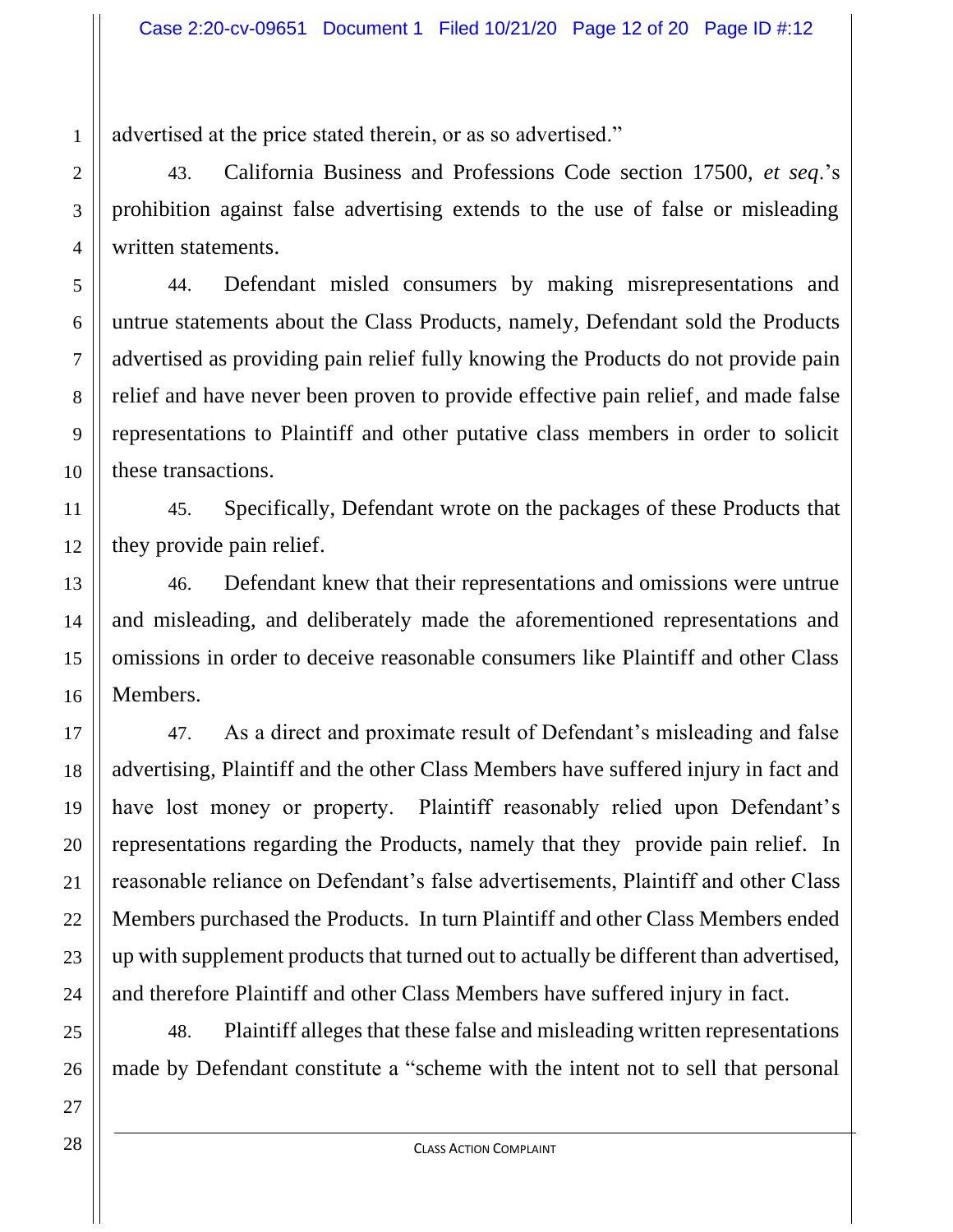advertised at the price stated therein, or as so advertised."

43. California Business and Professions Code section 17500, *et seq*.'s prohibition against false advertising extends to the use of false or misleading written statements.

44. Defendant misled consumers by making misrepresentations and untrue statements about the Class Products, namely, Defendant sold the Products advertised as providing pain relief fully knowing the Products do not provide pain relief and have never been proven to provide effective pain relief, and made false representations to Plaintiff and other putative class members in order to solicit these transactions.

45. Specifically, Defendant wrote on the packages of these Products that they provide pain relief.

46. Defendant knew that their representations and omissions were untrue and misleading, and deliberately made the aforementioned representations and omissions in order to deceive reasonable consumers like Plaintiff and other Class Members.

47. As a direct and proximate result of Defendant's misleading and false advertising, Plaintiff and the other Class Members have suffered injury in fact and have lost money or property. Plaintiff reasonably relied upon Defendant's representations regarding the Products, namely that they provide pain relief. In reasonable reliance on Defendant's false advertisements, Plaintiff and other Class Members purchased the Products. In turn Plaintiff and other Class Members ended up with supplement products that turned out to actually be different than advertised, and therefore Plaintiff and other Class Members have suffered injury in fact.

48. Plaintiff alleges that these false and misleading written representations made by Defendant constitute a "scheme with the intent not to sell that personal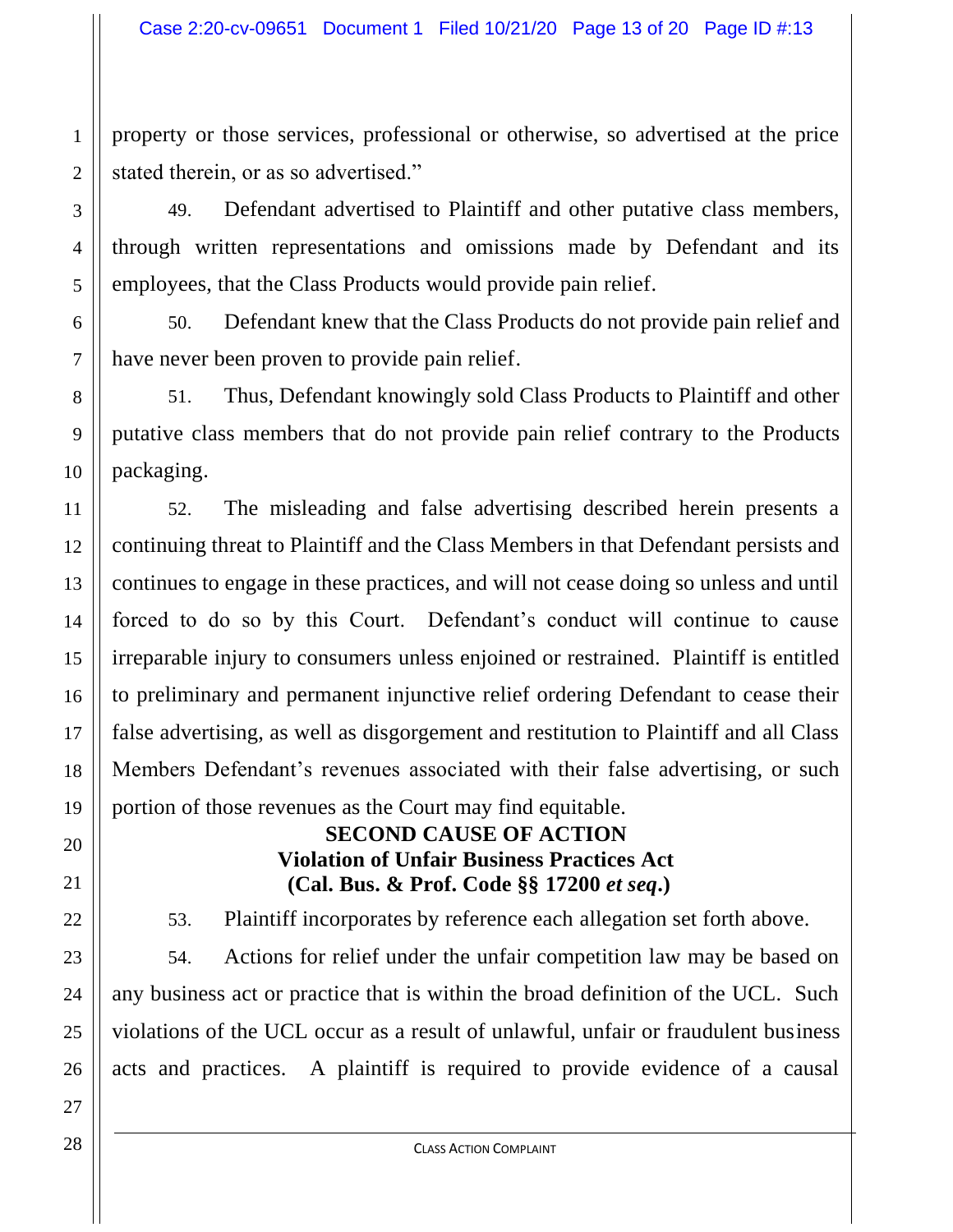property or those services, professional or otherwise, so advertised at the price stated therein, or as so advertised."

49. Defendant advertised to Plaintiff and other putative class members, through written representations and omissions made by Defendant and its employees, that the Class Products would provide pain relief.

50. Defendant knew that the Class Products do not provide pain relief and have never been proven to provide pain relief.

51. Thus, Defendant knowingly sold Class Products to Plaintiff and other putative class members that do not provide pain relief contrary to the Products packaging.

52. The misleading and false advertising described herein presents a continuing threat to Plaintiff and the Class Members in that Defendant persists and continues to engage in these practices, and will not cease doing so unless and until forced to do so by this Court. Defendant's conduct will continue to cause irreparable injury to consumers unless enjoined or restrained. Plaintiff is entitled to preliminary and permanent injunctive relief ordering Defendant to cease their false advertising, as well as disgorgement and restitution to Plaintiff and all Class Members Defendant's revenues associated with their false advertising, or such portion of those revenues as the Court may find equitable.

# **SECOND CAUSE OF ACTION Violation of Unfair Business Practices Act (Cal. Bus. & Prof. Code §§ 17200** *et seq***.)**

53. Plaintiff incorporates by reference each allegation set forth above.

54. Actions for relief under the unfair competition law may be based on any business act or practice that is within the broad definition of the UCL. Such violations of the UCL occur as a result of unlawful, unfair or fraudulent business acts and practices. A plaintiff is required to provide evidence of a causal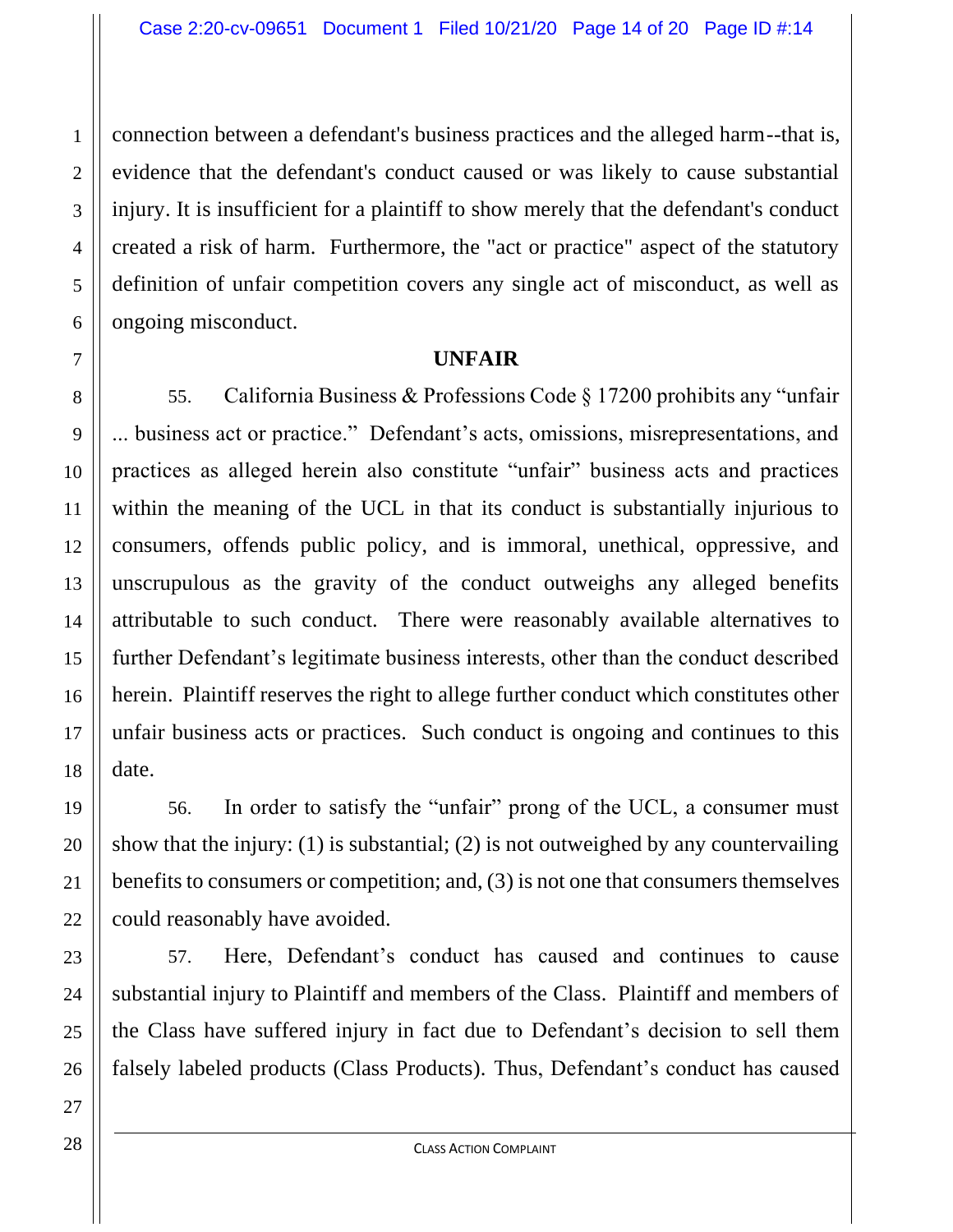connection between a defendant's business practices and the alleged harm--that is, evidence that the defendant's conduct caused or was likely to cause substantial injury. It is insufficient for a plaintiff to show merely that the defendant's conduct created a risk of harm. Furthermore, the "act or practice" aspect of the statutory definition of unfair competition covers any single act of misconduct, as well as ongoing misconduct.

#### **UNFAIR**

55. California Business & Professions Code § 17200 prohibits any "unfair ... business act or practice." Defendant's acts, omissions, misrepresentations, and practices as alleged herein also constitute "unfair" business acts and practices within the meaning of the UCL in that its conduct is substantially injurious to consumers, offends public policy, and is immoral, unethical, oppressive, and unscrupulous as the gravity of the conduct outweighs any alleged benefits attributable to such conduct. There were reasonably available alternatives to further Defendant's legitimate business interests, other than the conduct described herein. Plaintiff reserves the right to allege further conduct which constitutes other unfair business acts or practices. Such conduct is ongoing and continues to this date.

56. In order to satisfy the "unfair" prong of the UCL, a consumer must show that the injury: (1) is substantial; (2) is not outweighed by any countervailing benefits to consumers or competition; and, (3) is not one that consumers themselves could reasonably have avoided.

57. Here, Defendant's conduct has caused and continues to cause substantial injury to Plaintiff and members of the Class. Plaintiff and members of the Class have suffered injury in fact due to Defendant's decision to sell them falsely labeled products (Class Products). Thus, Defendant's conduct has caused

CLASS ACTION COMPLAINT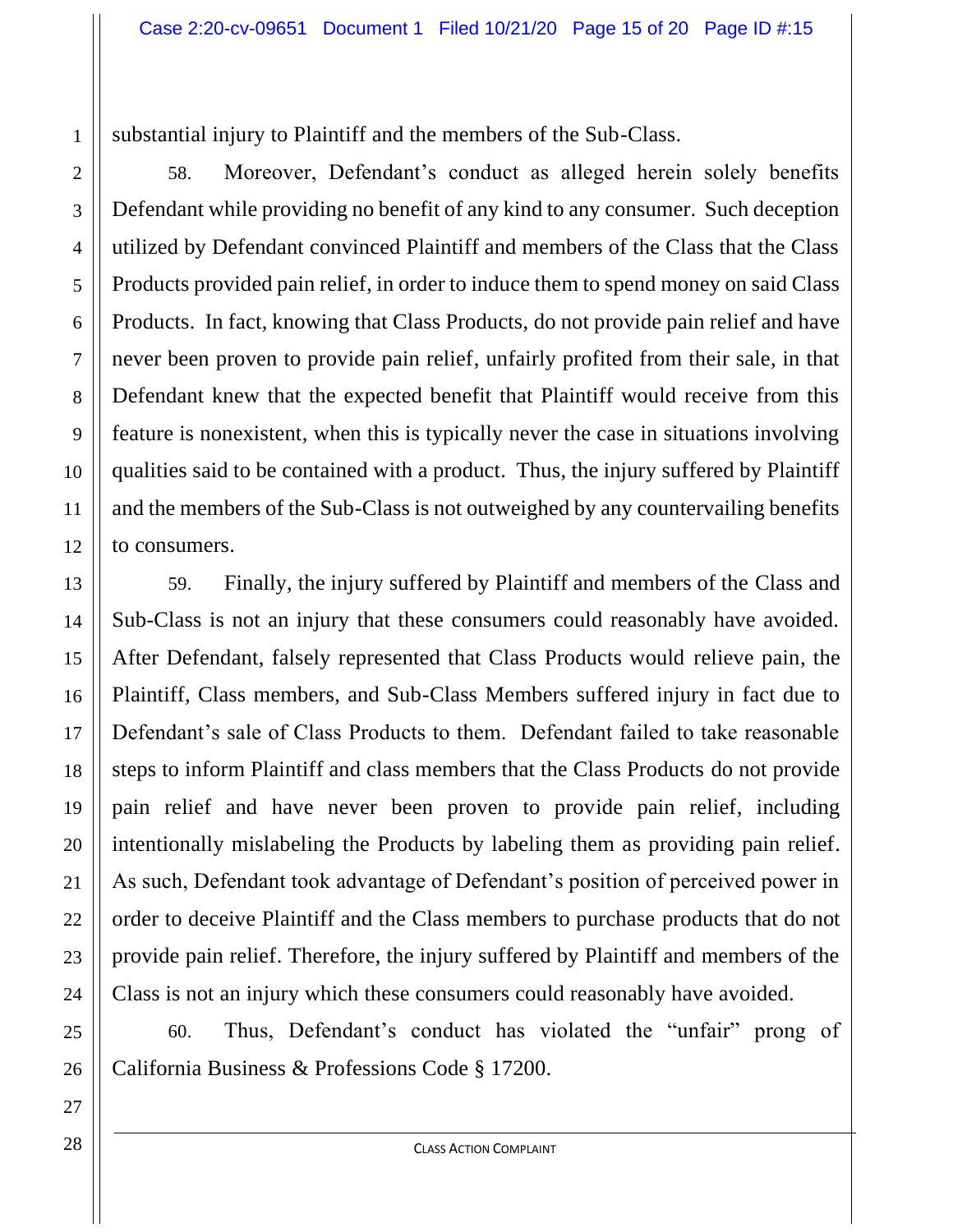substantial injury to Plaintiff and the members of the Sub-Class.

58. Moreover, Defendant's conduct as alleged herein solely benefits Defendant while providing no benefit of any kind to any consumer. Such deception utilized by Defendant convinced Plaintiff and members of the Class that the Class Products provided pain relief, in order to induce them to spend money on said Class Products. In fact, knowing that Class Products, do not provide pain relief and have never been proven to provide pain relief, unfairly profited from their sale, in that Defendant knew that the expected benefit that Plaintiff would receive from this feature is nonexistent, when this is typically never the case in situations involving qualities said to be contained with a product. Thus, the injury suffered by Plaintiff and the members of the Sub-Class is not outweighed by any countervailing benefits to consumers.

59. Finally, the injury suffered by Plaintiff and members of the Class and Sub-Class is not an injury that these consumers could reasonably have avoided. After Defendant, falsely represented that Class Products would relieve pain, the Plaintiff, Class members, and Sub-Class Members suffered injury in fact due to Defendant's sale of Class Products to them. Defendant failed to take reasonable steps to inform Plaintiff and class members that the Class Products do not provide pain relief and have never been proven to provide pain relief, including intentionally mislabeling the Products by labeling them as providing pain relief. As such, Defendant took advantage of Defendant's position of perceived power in order to deceive Plaintiff and the Class members to purchase products that do not provide pain relief. Therefore, the injury suffered by Plaintiff and members of the Class is not an injury which these consumers could reasonably have avoided.

60. Thus, Defendant's conduct has violated the "unfair" prong of California Business & Professions Code § 17200.

1

2

3

4

5

6

7

8

9

10

11

12

13

14

15

16

17

18

19

20

21

22

23

24

25

26

27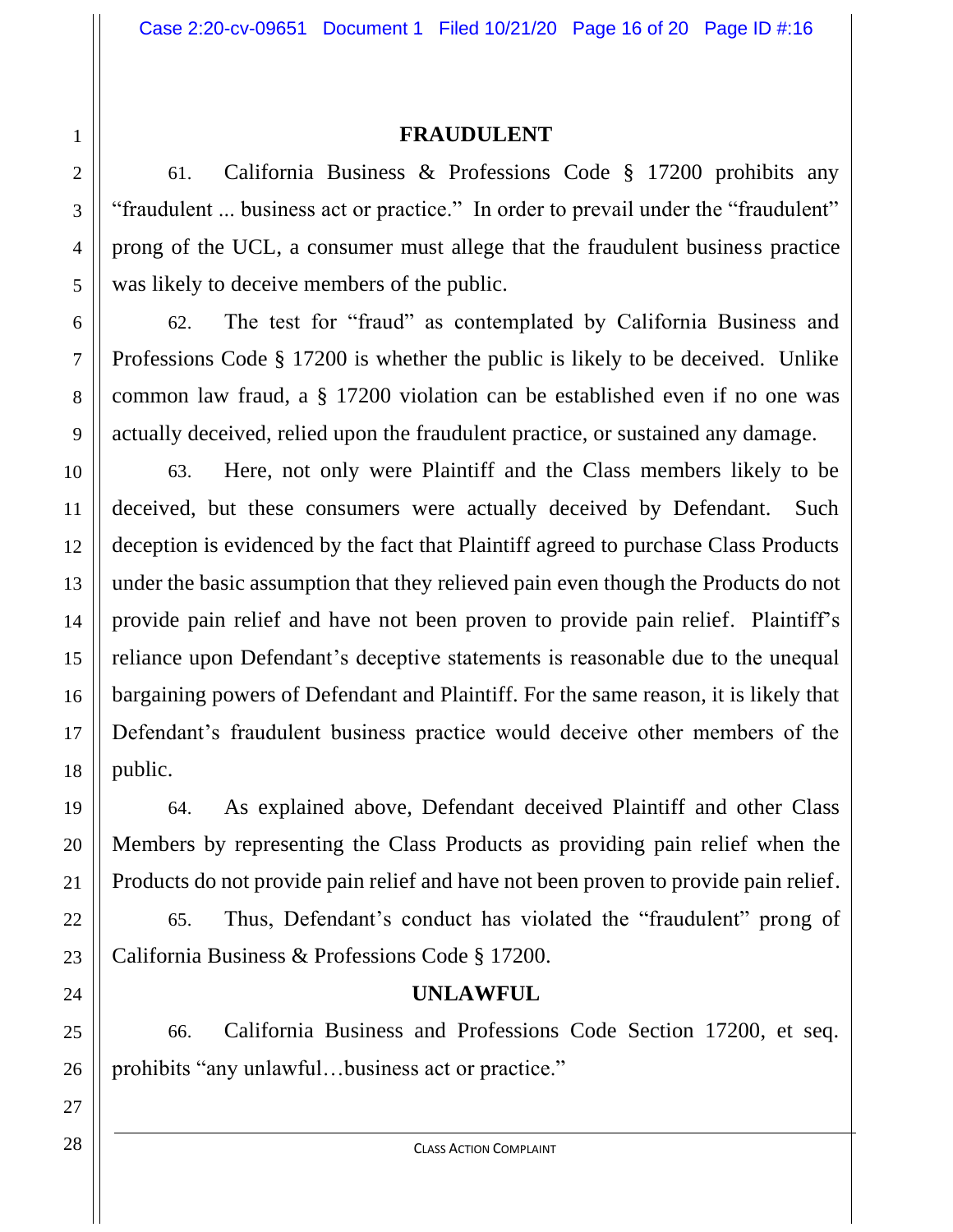### **FRAUDULENT**

61. California Business & Professions Code § 17200 prohibits any "fraudulent ... business act or practice." In order to prevail under the "fraudulent" prong of the UCL, a consumer must allege that the fraudulent business practice was likely to deceive members of the public.

62. The test for "fraud" as contemplated by California Business and Professions Code § 17200 is whether the public is likely to be deceived. Unlike common law fraud, a § 17200 violation can be established even if no one was actually deceived, relied upon the fraudulent practice, or sustained any damage.

63. Here, not only were Plaintiff and the Class members likely to be deceived, but these consumers were actually deceived by Defendant. Such deception is evidenced by the fact that Plaintiff agreed to purchase Class Products under the basic assumption that they relieved pain even though the Products do not provide pain relief and have not been proven to provide pain relief. Plaintiff's reliance upon Defendant's deceptive statements is reasonable due to the unequal bargaining powers of Defendant and Plaintiff. For the same reason, it is likely that Defendant's fraudulent business practice would deceive other members of the public.

64. As explained above, Defendant deceived Plaintiff and other Class Members by representing the Class Products as providing pain relief when the Products do not provide pain relief and have not been proven to provide pain relief.

65. Thus, Defendant's conduct has violated the "fraudulent" prong of California Business & Professions Code § 17200.

### **UNLAWFUL**

66. California Business and Professions Code Section 17200, et seq. prohibits "any unlawful…business act or practice."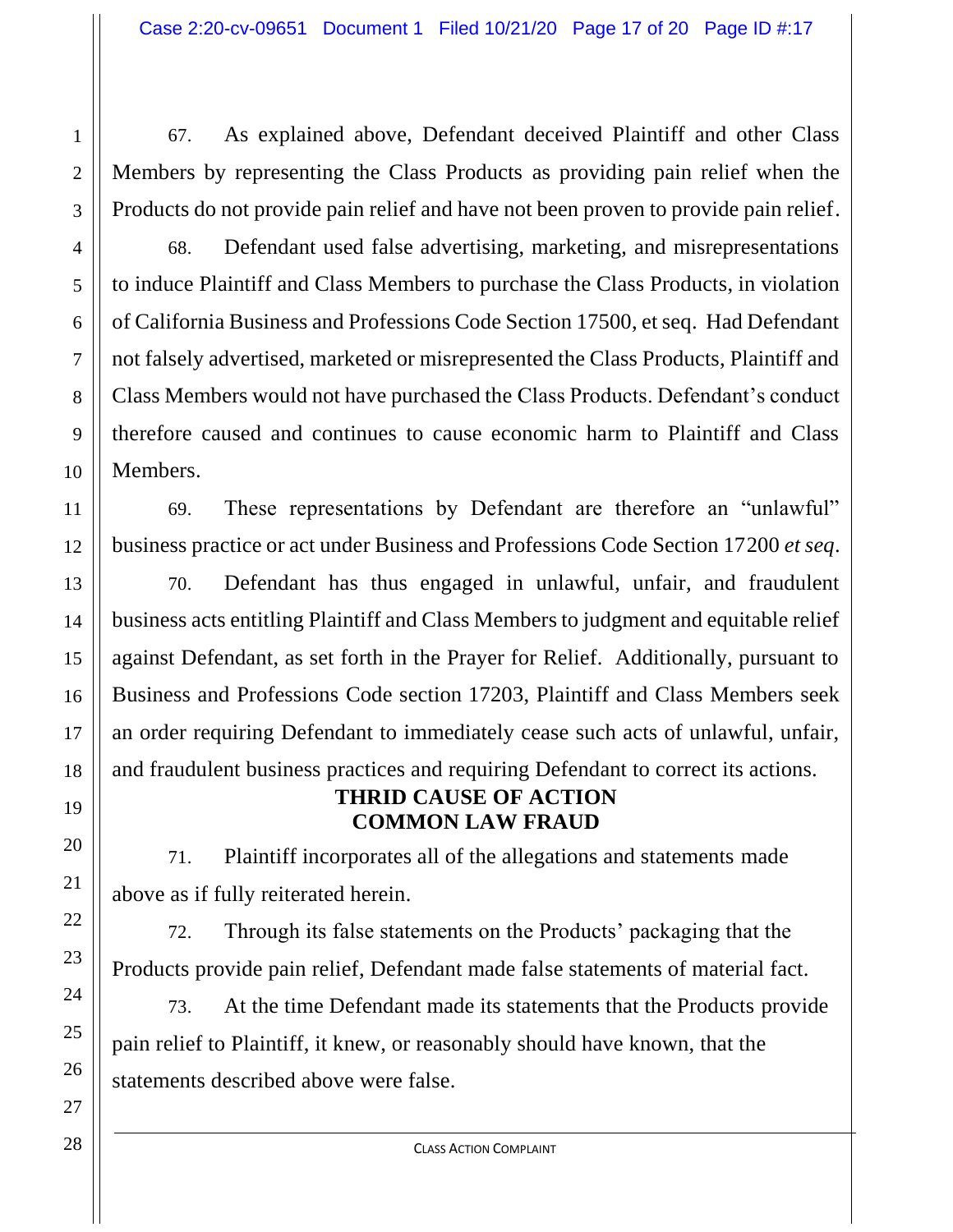67. As explained above, Defendant deceived Plaintiff and other Class Members by representing the Class Products as providing pain relief when the Products do not provide pain relief and have not been proven to provide pain relief.

68. Defendant used false advertising, marketing, and misrepresentations to induce Plaintiff and Class Members to purchase the Class Products, in violation of California Business and Professions Code Section 17500, et seq. Had Defendant not falsely advertised, marketed or misrepresented the Class Products, Plaintiff and Class Members would not have purchased the Class Products. Defendant's conduct therefore caused and continues to cause economic harm to Plaintiff and Class Members.

69. These representations by Defendant are therefore an "unlawful" business practice or act under Business and Professions Code Section 17200 *et seq*.

70. Defendant has thus engaged in unlawful, unfair, and fraudulent business acts entitling Plaintiff and Class Members to judgment and equitable relief against Defendant, as set forth in the Prayer for Relief. Additionally, pursuant to Business and Professions Code section 17203, Plaintiff and Class Members seek an order requiring Defendant to immediately cease such acts of unlawful, unfair, and fraudulent business practices and requiring Defendant to correct its actions.

### **THRID CAUSE OF ACTION COMMON LAW FRAUD**

71. Plaintiff incorporates all of the allegations and statements made above as if fully reiterated herein.

72. Through its false statements on the Products' packaging that the Products provide pain relief, Defendant made false statements of material fact.

73. At the time Defendant made its statements that the Products provide pain relief to Plaintiff, it knew, or reasonably should have known, that the statements described above were false.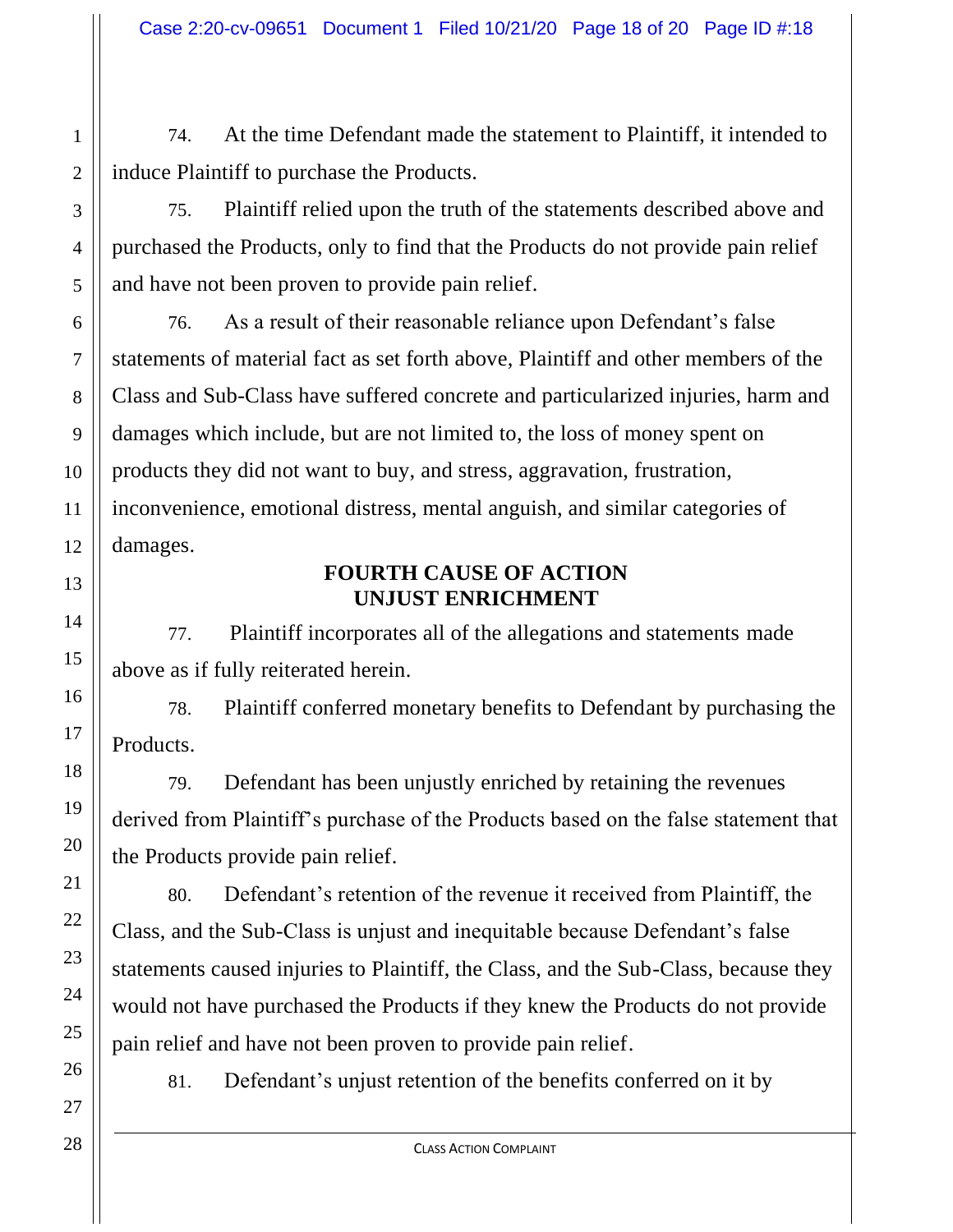74. At the time Defendant made the statement to Plaintiff, it intended to induce Plaintiff to purchase the Products.

75. Plaintiff relied upon the truth of the statements described above and purchased the Products, only to find that the Products do not provide pain relief and have not been proven to provide pain relief.

76. As a result of their reasonable reliance upon Defendant's false statements of material fact as set forth above, Plaintiff and other members of the Class and Sub-Class have suffered concrete and particularized injuries, harm and damages which include, but are not limited to, the loss of money spent on products they did not want to buy, and stress, aggravation, frustration, inconvenience, emotional distress, mental anguish, and similar categories of damages.

### **FOURTH CAUSE OF ACTION UNJUST ENRICHMENT**

77. Plaintiff incorporates all of the allegations and statements made above as if fully reiterated herein.

78. Plaintiff conferred monetary benefits to Defendant by purchasing the Products.

79. Defendant has been unjustly enriched by retaining the revenues derived from Plaintiff's purchase of the Products based on the false statement that the Products provide pain relief.

80. Defendant's retention of the revenue it received from Plaintiff, the Class, and the Sub-Class is unjust and inequitable because Defendant's false statements caused injuries to Plaintiff, the Class, and the Sub-Class, because they would not have purchased the Products if they knew the Products do not provide pain relief and have not been proven to provide pain relief.

81. Defendant's unjust retention of the benefits conferred on it by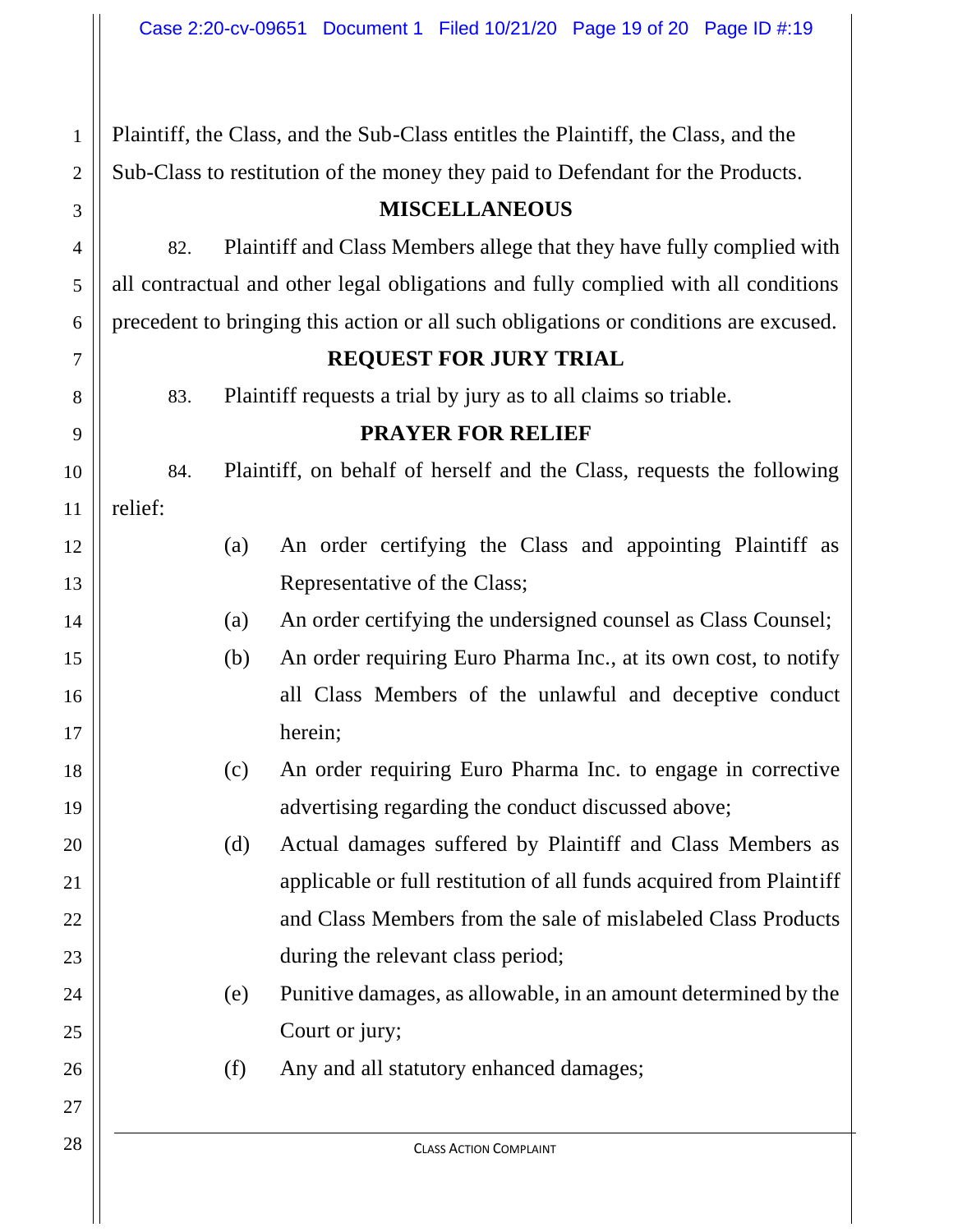Plaintiff, the Class, and the Sub-Class entitles the Plaintiff, the Class, and the Sub-Class to restitution of the money they paid to Defendant for the Products.

### **MISCELLANEOUS**

82. Plaintiff and Class Members allege that they have fully complied with all contractual and other legal obligations and fully complied with all conditions precedent to bringing this action or all such obligations or conditions are excused.

#### **REQUEST FOR JURY TRIAL**

83. Plaintiff requests a trial by jury as to all claims so triable.

### **PRAYER FOR RELIEF**

84. Plaintiff, on behalf of herself and the Class, requests the following relief:

- (a) An order certifying the Class and appointing Plaintiff as Representative of the Class;
- (a) An order certifying the undersigned counsel as Class Counsel;
- (b) An order requiring Euro Pharma Inc., at its own cost, to notify all Class Members of the unlawful and deceptive conduct herein;
	- (c) An order requiring Euro Pharma Inc. to engage in corrective advertising regarding the conduct discussed above;

(d) Actual damages suffered by Plaintiff and Class Members as applicable or full restitution of all funds acquired from Plaintiff and Class Members from the sale of mislabeled Class Products during the relevant class period;

- (e) Punitive damages, as allowable, in an amount determined by the Court or jury;
- (f) Any and all statutory enhanced damages;

1

2

3

4

5

6

7

8

9

10

11

12

13

14

15

16

17

18

19

20

21

22

23

24